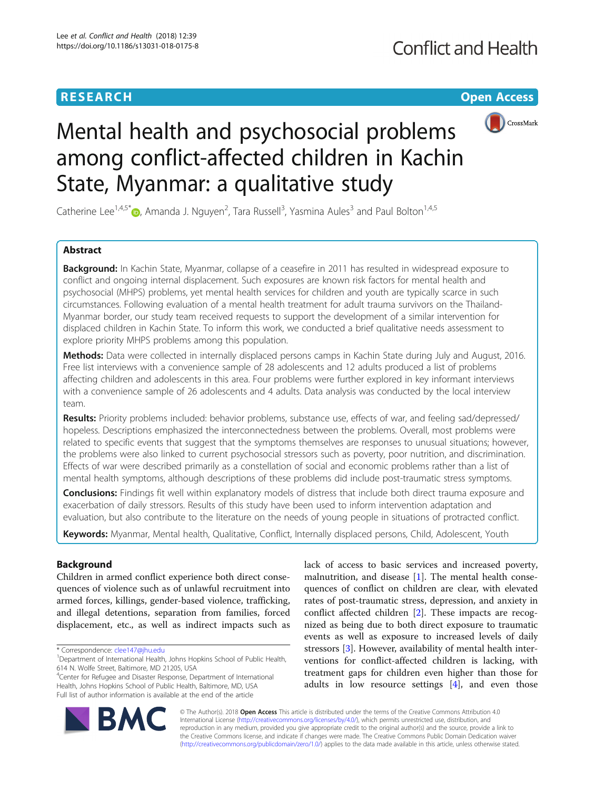## **RESEARCH CHE Open Access**



# Mental health and psychosocial problems among conflict-affected children in Kachin State, Myanmar: a qualitative study

Catherine Lee<sup>1,4,5[\\*](http://orcid.org/0000-0001-5999-2452)</sup> (D, Amanda J. Nguyen<sup>2</sup>, Tara Russell<sup>3</sup>, Yasmina Aules<sup>3</sup> and Paul Bolton<sup>1,4,5</sup>

### Abstract

Background: In Kachin State, Myanmar, collapse of a ceasefire in 2011 has resulted in widespread exposure to conflict and ongoing internal displacement. Such exposures are known risk factors for mental health and psychosocial (MHPS) problems, yet mental health services for children and youth are typically scarce in such circumstances. Following evaluation of a mental health treatment for adult trauma survivors on the Thailand-Myanmar border, our study team received requests to support the development of a similar intervention for displaced children in Kachin State. To inform this work, we conducted a brief qualitative needs assessment to explore priority MHPS problems among this population.

Methods: Data were collected in internally displaced persons camps in Kachin State during July and August, 2016. Free list interviews with a convenience sample of 28 adolescents and 12 adults produced a list of problems affecting children and adolescents in this area. Four problems were further explored in key informant interviews with a convenience sample of 26 adolescents and 4 adults. Data analysis was conducted by the local interview team.

Results: Priority problems included: behavior problems, substance use, effects of war, and feeling sad/depressed/ hopeless. Descriptions emphasized the interconnectedness between the problems. Overall, most problems were related to specific events that suggest that the symptoms themselves are responses to unusual situations; however, the problems were also linked to current psychosocial stressors such as poverty, poor nutrition, and discrimination. Effects of war were described primarily as a constellation of social and economic problems rather than a list of mental health symptoms, although descriptions of these problems did include post-traumatic stress symptoms.

**Conclusions:** Findings fit well within explanatory models of distress that include both direct trauma exposure and exacerbation of daily stressors. Results of this study have been used to inform intervention adaptation and evaluation, but also contribute to the literature on the needs of young people in situations of protracted conflict.

Keywords: Myanmar, Mental health, Qualitative, Conflict, Internally displaced persons, Child, Adolescent, Youth

#### Background

Children in armed conflict experience both direct consequences of violence such as of unlawful recruitment into armed forces, killings, gender-based violence, trafficking, and illegal detentions, separation from families, forced displacement, etc., as well as indirect impacts such as

<sup>4</sup>Center for Refugee and Disaster Response, Department of International Health, Johns Hopkins School of Public Health, Baltimore, MD, USA Full list of author information is available at the end of the article

lack of access to basic services and increased poverty, malnutrition, and disease [[1\]](#page-10-0). The mental health consequences of conflict on children are clear, with elevated rates of post-traumatic stress, depression, and anxiety in conflict affected children [[2\]](#page-10-0). These impacts are recognized as being due to both direct exposure to traumatic events as well as exposure to increased levels of daily stressors [[3\]](#page-10-0). However, availability of mental health interventions for conflict-affected children is lacking, with treatment gaps for children even higher than those for adults in low resource settings [\[4](#page-10-0)], and even those



© The Author(s). 2018 Open Access This article is distributed under the terms of the Creative Commons Attribution 4.0 International License [\(http://creativecommons.org/licenses/by/4.0/](http://creativecommons.org/licenses/by/4.0/)), which permits unrestricted use, distribution, and reproduction in any medium, provided you give appropriate credit to the original author(s) and the source, provide a link to the Creative Commons license, and indicate if changes were made. The Creative Commons Public Domain Dedication waiver [\(http://creativecommons.org/publicdomain/zero/1.0/](http://creativecommons.org/publicdomain/zero/1.0/)) applies to the data made available in this article, unless otherwise stated.

<sup>\*</sup> Correspondence: [clee147@jhu.edu](mailto:clee147@jhu.edu) <sup>1</sup>

<sup>&</sup>lt;sup>1</sup>Department of International Health, Johns Hopkins School of Public Health, 614 N. Wolfe Street, Baltimore, MD 21205, USA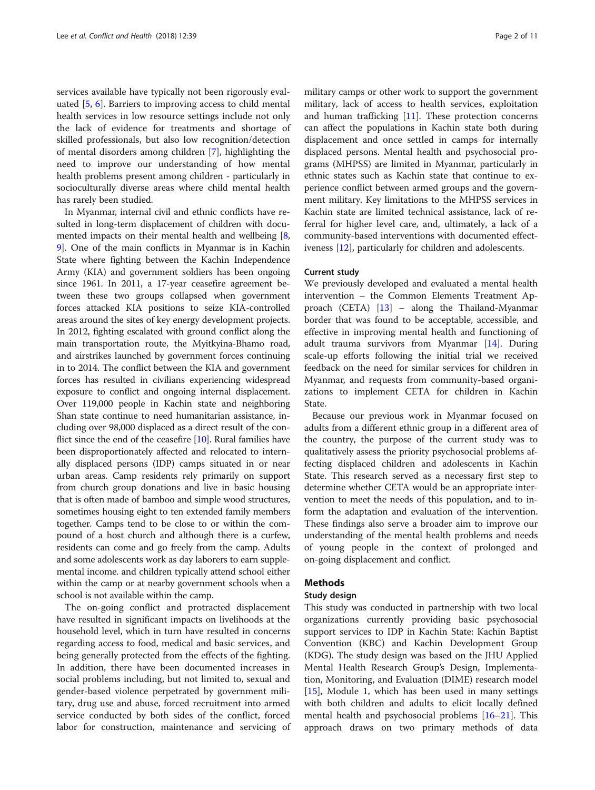services available have typically not been rigorously evaluated [\[5](#page-10-0), [6](#page-10-0)]. Barriers to improving access to child mental health services in low resource settings include not only the lack of evidence for treatments and shortage of skilled professionals, but also low recognition/detection of mental disorders among children [[7\]](#page-10-0), highlighting the need to improve our understanding of how mental health problems present among children - particularly in socioculturally diverse areas where child mental health has rarely been studied.

In Myanmar, internal civil and ethnic conflicts have resulted in long-term displacement of children with documented impacts on their mental health and wellbeing [[8](#page-10-0), [9\]](#page-10-0). One of the main conflicts in Myanmar is in Kachin State where fighting between the Kachin Independence Army (KIA) and government soldiers has been ongoing since 1961. In 2011, a 17-year ceasefire agreement between these two groups collapsed when government forces attacked KIA positions to seize KIA-controlled areas around the sites of key energy development projects. In 2012, fighting escalated with ground conflict along the main transportation route, the Myitkyina-Bhamo road, and airstrikes launched by government forces continuing in to 2014. The conflict between the KIA and government forces has resulted in civilians experiencing widespread exposure to conflict and ongoing internal displacement. Over 119,000 people in Kachin state and neighboring Shan state continue to need humanitarian assistance, including over 98,000 displaced as a direct result of the con-flict since the end of the ceasefire [[10\]](#page-10-0). Rural families have been disproportionately affected and relocated to internally displaced persons (IDP) camps situated in or near urban areas. Camp residents rely primarily on support from church group donations and live in basic housing that is often made of bamboo and simple wood structures, sometimes housing eight to ten extended family members together. Camps tend to be close to or within the compound of a host church and although there is a curfew, residents can come and go freely from the camp. Adults and some adolescents work as day laborers to earn supplemental income. and children typically attend school either within the camp or at nearby government schools when a school is not available within the camp.

The on-going conflict and protracted displacement have resulted in significant impacts on livelihoods at the household level, which in turn have resulted in concerns regarding access to food, medical and basic services, and being generally protected from the effects of the fighting. In addition, there have been documented increases in social problems including, but not limited to, sexual and gender-based violence perpetrated by government military, drug use and abuse, forced recruitment into armed service conducted by both sides of the conflict, forced labor for construction, maintenance and servicing of military camps or other work to support the government military, lack of access to health services, exploitation and human trafficking [[11](#page-10-0)]. These protection concerns can affect the populations in Kachin state both during displacement and once settled in camps for internally displaced persons. Mental health and psychosocial programs (MHPSS) are limited in Myanmar, particularly in ethnic states such as Kachin state that continue to experience conflict between armed groups and the government military. Key limitations to the MHPSS services in Kachin state are limited technical assistance, lack of referral for higher level care, and, ultimately, a lack of a community-based interventions with documented effectiveness [[12\]](#page-10-0), particularly for children and adolescents.

#### Current study

We previously developed and evaluated a mental health intervention – the Common Elements Treatment Approach (CETA) [\[13\]](#page-10-0) – along the Thailand-Myanmar border that was found to be acceptable, accessible, and effective in improving mental health and functioning of adult trauma survivors from Myanmar [[14\]](#page-10-0). During scale-up efforts following the initial trial we received feedback on the need for similar services for children in Myanmar, and requests from community-based organizations to implement CETA for children in Kachin State.

Because our previous work in Myanmar focused on adults from a different ethnic group in a different area of the country, the purpose of the current study was to qualitatively assess the priority psychosocial problems affecting displaced children and adolescents in Kachin State. This research served as a necessary first step to determine whether CETA would be an appropriate intervention to meet the needs of this population, and to inform the adaptation and evaluation of the intervention. These findings also serve a broader aim to improve our understanding of the mental health problems and needs of young people in the context of prolonged and on-going displacement and conflict.

#### Methods

#### Study design

This study was conducted in partnership with two local organizations currently providing basic psychosocial support services to IDP in Kachin State: Kachin Baptist Convention (KBC) and Kachin Development Group (KDG). The study design was based on the JHU Applied Mental Health Research Group's Design, Implementation, Monitoring, and Evaluation (DIME) research model [[15\]](#page-10-0), Module 1, which has been used in many settings with both children and adults to elicit locally defined mental health and psychosocial problems [[16](#page-10-0)–[21](#page-10-0)]. This approach draws on two primary methods of data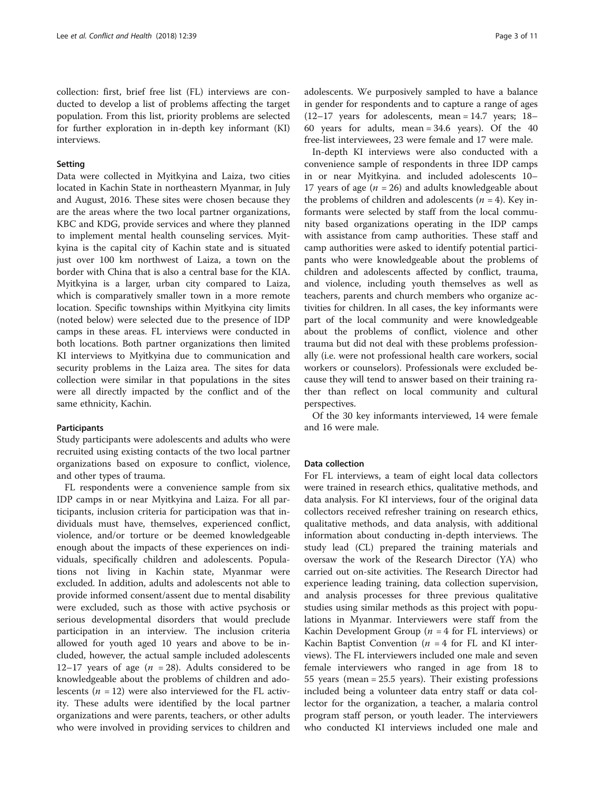collection: first, brief free list (FL) interviews are conducted to develop a list of problems affecting the target population. From this list, priority problems are selected for further exploration in in-depth key informant (KI) interviews.

#### Setting

Data were collected in Myitkyina and Laiza, two cities located in Kachin State in northeastern Myanmar, in July and August, 2016. These sites were chosen because they are the areas where the two local partner organizations, KBC and KDG, provide services and where they planned to implement mental health counseling services. Myitkyina is the capital city of Kachin state and is situated just over 100 km northwest of Laiza, a town on the border with China that is also a central base for the KIA. Myitkyina is a larger, urban city compared to Laiza, which is comparatively smaller town in a more remote location. Specific townships within Myitkyina city limits (noted below) were selected due to the presence of IDP camps in these areas. FL interviews were conducted in both locations. Both partner organizations then limited KI interviews to Myitkyina due to communication and security problems in the Laiza area. The sites for data collection were similar in that populations in the sites were all directly impacted by the conflict and of the same ethnicity, Kachin.

#### **Participants**

Study participants were adolescents and adults who were recruited using existing contacts of the two local partner organizations based on exposure to conflict, violence, and other types of trauma.

FL respondents were a convenience sample from six IDP camps in or near Myitkyina and Laiza. For all participants, inclusion criteria for participation was that individuals must have, themselves, experienced conflict, violence, and/or torture or be deemed knowledgeable enough about the impacts of these experiences on individuals, specifically children and adolescents. Populations not living in Kachin state, Myanmar were excluded. In addition, adults and adolescents not able to provide informed consent/assent due to mental disability were excluded, such as those with active psychosis or serious developmental disorders that would preclude participation in an interview. The inclusion criteria allowed for youth aged 10 years and above to be included, however, the actual sample included adolescents 12–17 years of age ( $n = 28$ ). Adults considered to be knowledgeable about the problems of children and adolescents ( $n = 12$ ) were also interviewed for the FL activity. These adults were identified by the local partner organizations and were parents, teachers, or other adults who were involved in providing services to children and adolescents. We purposively sampled to have a balance in gender for respondents and to capture a range of ages  $(12-17)$  years for adolescents, mean = 14.7 years; 18– 60 years for adults, mean =  $34.6$  years). Of the 40 free-list interviewees, 23 were female and 17 were male.

In-depth KI interviews were also conducted with a convenience sample of respondents in three IDP camps in or near Myitkyina. and included adolescents 10– 17 years of age ( $n = 26$ ) and adults knowledgeable about the problems of children and adolescents ( $n = 4$ ). Key informants were selected by staff from the local community based organizations operating in the IDP camps with assistance from camp authorities. These staff and camp authorities were asked to identify potential participants who were knowledgeable about the problems of children and adolescents affected by conflict, trauma, and violence, including youth themselves as well as teachers, parents and church members who organize activities for children. In all cases, the key informants were part of the local community and were knowledgeable about the problems of conflict, violence and other trauma but did not deal with these problems professionally (i.e. were not professional health care workers, social workers or counselors). Professionals were excluded because they will tend to answer based on their training rather than reflect on local community and cultural perspectives.

Of the 30 key informants interviewed, 14 were female and 16 were male.

#### Data collection

For FL interviews, a team of eight local data collectors were trained in research ethics, qualitative methods, and data analysis. For KI interviews, four of the original data collectors received refresher training on research ethics, qualitative methods, and data analysis, with additional information about conducting in-depth interviews. The study lead (CL) prepared the training materials and oversaw the work of the Research Director (YA) who carried out on-site activities. The Research Director had experience leading training, data collection supervision, and analysis processes for three previous qualitative studies using similar methods as this project with populations in Myanmar. Interviewers were staff from the Kachin Development Group ( $n = 4$  for FL interviews) or Kachin Baptist Convention ( $n = 4$  for FL and KI interviews). The FL interviewers included one male and seven female interviewers who ranged in age from 18 to 55 years (mean = 25.5 years). Their existing professions included being a volunteer data entry staff or data collector for the organization, a teacher, a malaria control program staff person, or youth leader. The interviewers who conducted KI interviews included one male and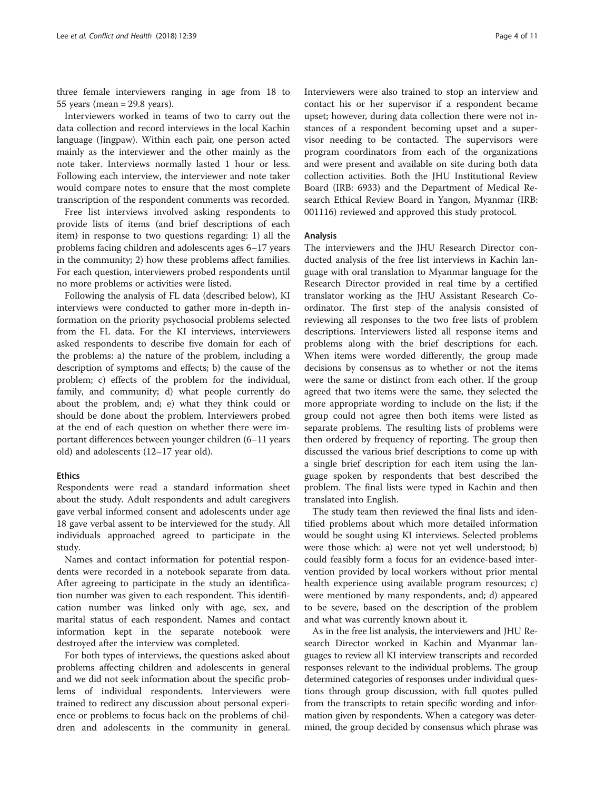three female interviewers ranging in age from 18 to 55 years (mean = 29.8 years).

Interviewers worked in teams of two to carry out the data collection and record interviews in the local Kachin language (Jingpaw). Within each pair, one person acted mainly as the interviewer and the other mainly as the note taker. Interviews normally lasted 1 hour or less. Following each interview, the interviewer and note taker would compare notes to ensure that the most complete transcription of the respondent comments was recorded.

Free list interviews involved asking respondents to provide lists of items (and brief descriptions of each item) in response to two questions regarding: 1) all the problems facing children and adolescents ages 6–17 years in the community; 2) how these problems affect families. For each question, interviewers probed respondents until no more problems or activities were listed.

Following the analysis of FL data (described below), KI interviews were conducted to gather more in-depth information on the priority psychosocial problems selected from the FL data. For the KI interviews, interviewers asked respondents to describe five domain for each of the problems: a) the nature of the problem, including a description of symptoms and effects; b) the cause of the problem; c) effects of the problem for the individual, family, and community; d) what people currently do about the problem, and; e) what they think could or should be done about the problem. Interviewers probed at the end of each question on whether there were important differences between younger children (6–11 years old) and adolescents (12–17 year old).

#### Ethics

Respondents were read a standard information sheet about the study. Adult respondents and adult caregivers gave verbal informed consent and adolescents under age 18 gave verbal assent to be interviewed for the study. All individuals approached agreed to participate in the study.

Names and contact information for potential respondents were recorded in a notebook separate from data. After agreeing to participate in the study an identification number was given to each respondent. This identification number was linked only with age, sex, and marital status of each respondent. Names and contact information kept in the separate notebook were destroyed after the interview was completed.

For both types of interviews, the questions asked about problems affecting children and adolescents in general and we did not seek information about the specific problems of individual respondents. Interviewers were trained to redirect any discussion about personal experience or problems to focus back on the problems of children and adolescents in the community in general. Interviewers were also trained to stop an interview and contact his or her supervisor if a respondent became upset; however, during data collection there were not instances of a respondent becoming upset and a supervisor needing to be contacted. The supervisors were program coordinators from each of the organizations and were present and available on site during both data collection activities. Both the JHU Institutional Review Board (IRB: 6933) and the Department of Medical Research Ethical Review Board in Yangon, Myanmar (IRB: 001116) reviewed and approved this study protocol.

#### Analysis

The interviewers and the JHU Research Director conducted analysis of the free list interviews in Kachin language with oral translation to Myanmar language for the Research Director provided in real time by a certified translator working as the JHU Assistant Research Coordinator. The first step of the analysis consisted of reviewing all responses to the two free lists of problem descriptions. Interviewers listed all response items and problems along with the brief descriptions for each. When items were worded differently, the group made decisions by consensus as to whether or not the items were the same or distinct from each other. If the group agreed that two items were the same, they selected the more appropriate wording to include on the list; if the group could not agree then both items were listed as separate problems. The resulting lists of problems were then ordered by frequency of reporting. The group then discussed the various brief descriptions to come up with a single brief description for each item using the language spoken by respondents that best described the problem. The final lists were typed in Kachin and then translated into English.

The study team then reviewed the final lists and identified problems about which more detailed information would be sought using KI interviews. Selected problems were those which: a) were not yet well understood; b) could feasibly form a focus for an evidence-based intervention provided by local workers without prior mental health experience using available program resources; c) were mentioned by many respondents, and; d) appeared to be severe, based on the description of the problem and what was currently known about it.

As in the free list analysis, the interviewers and JHU Research Director worked in Kachin and Myanmar languages to review all KI interview transcripts and recorded responses relevant to the individual problems. The group determined categories of responses under individual questions through group discussion, with full quotes pulled from the transcripts to retain specific wording and information given by respondents. When a category was determined, the group decided by consensus which phrase was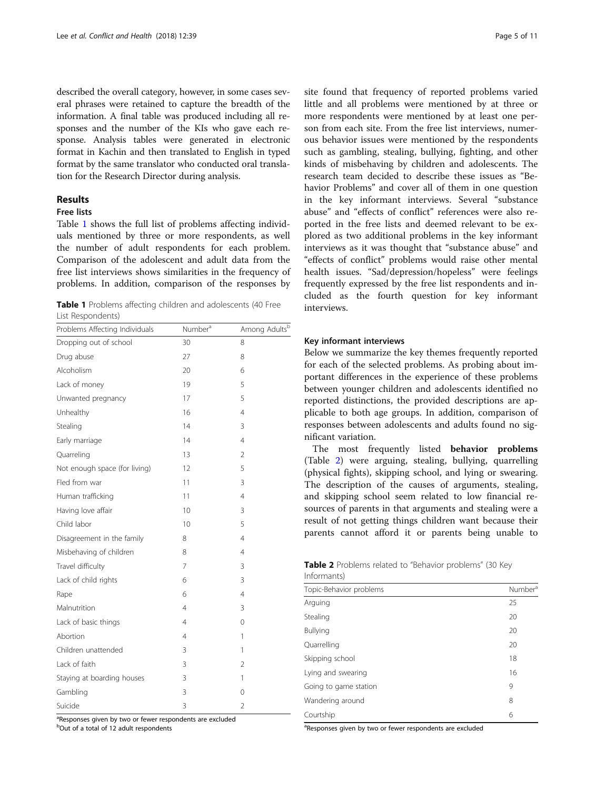described the overall category, however, in some cases several phrases were retained to capture the breadth of the information. A final table was produced including all responses and the number of the KIs who gave each response. Analysis tables were generated in electronic format in Kachin and then translated to English in typed format by the same translator who conducted oral translation for the Research Director during analysis.

#### Results

### Free lists

Table 1 shows the full list of problems affecting individuals mentioned by three or more respondents, as well the number of adult respondents for each problem. Comparison of the adolescent and adult data from the free list interviews shows similarities in the frequency of problems. In addition, comparison of the responses by

Table 1 Problems affecting children and adolescents (40 Free List Respondents)

| Problems Affecting Individuals | Number <sup>a</sup> | Among Adults <sup>b</sup> |
|--------------------------------|---------------------|---------------------------|
| Dropping out of school         | 30                  | 8                         |
| Drug abuse                     | 27                  | 8                         |
| Alcoholism                     | 20                  | 6                         |
| Lack of money                  | 19                  | 5                         |
| Unwanted pregnancy             | 17                  | 5                         |
| Unhealthy                      | 16                  | $\overline{4}$            |
| Stealing                       | 14                  | 3                         |
| Early marriage                 | 14                  | $\overline{4}$            |
| Quarreling                     | 13                  | $\overline{2}$            |
| Not enough space (for living)  | 12                  | 5                         |
| Fled from war                  | 11                  | 3                         |
| Human trafficking              | 11                  | $\overline{4}$            |
| Having love affair             | 10                  | 3                         |
| Child labor                    | 10                  | 5                         |
| Disagreement in the family     | 8                   | $\overline{4}$            |
| Misbehaving of children        | 8                   | $\overline{4}$            |
| Travel difficulty              | 7                   | 3                         |
| Lack of child rights           | 6                   | 3                         |
| Rape                           | 6                   | $\overline{4}$            |
| Malnutrition                   | 4                   | 3                         |
| Lack of basic things           | 4                   | 0                         |
| Abortion                       | 4                   | 1                         |
| Children unattended            | 3                   | 1                         |
| Lack of faith                  | 3                   | $\overline{2}$            |
| Staying at boarding houses     | 3                   | 1                         |
| Gambling                       | 3                   | 0                         |
| Suicide                        | 3                   | $\overline{2}$            |

<sup>a</sup>Responses given by two or fewer respondents are excluded

b<sub>Out</sub> of a total of 12 adult respondents

site found that frequency of reported problems varied little and all problems were mentioned by at three or more respondents were mentioned by at least one person from each site. From the free list interviews, numerous behavior issues were mentioned by the respondents such as gambling, stealing, bullying, fighting, and other kinds of misbehaving by children and adolescents. The research team decided to describe these issues as "Behavior Problems" and cover all of them in one question in the key informant interviews. Several "substance abuse" and "effects of conflict" references were also reported in the free lists and deemed relevant to be explored as two additional problems in the key informant interviews as it was thought that "substance abuse" and "effects of conflict" problems would raise other mental health issues. "Sad/depression/hopeless" were feelings frequently expressed by the free list respondents and included as the fourth question for key informant interviews.

#### Key informant interviews

Below we summarize the key themes frequently reported for each of the selected problems. As probing about important differences in the experience of these problems between younger children and adolescents identified no reported distinctions, the provided descriptions are applicable to both age groups. In addition, comparison of responses between adolescents and adults found no significant variation.

The most frequently listed behavior problems (Table 2) were arguing, stealing, bullying, quarrelling (physical fights), skipping school, and lying or swearing. The description of the causes of arguments, stealing, and skipping school seem related to low financial resources of parents in that arguments and stealing were a result of not getting things children want because their parents cannot afford it or parents being unable to

| <b>Table 2</b> Problems related to "Behavior problems" (30 Key |  |  |  |
|----------------------------------------------------------------|--|--|--|
| Informants)                                                    |  |  |  |

| Topic-Behavior problems | Number <sup>a</sup> |
|-------------------------|---------------------|
| Arguing                 | 25                  |
| Stealing                | 20                  |
| <b>Bullying</b>         | 20                  |
| Quarrelling             | 20                  |
| Skipping school         | 18                  |
| Lying and swearing      | 16                  |
| Going to game station   | 9                   |
| Wandering around        | 8                   |
| Courtship               | 6                   |
|                         |                     |

<sup>a</sup>Responses given by two or fewer respondents are excluded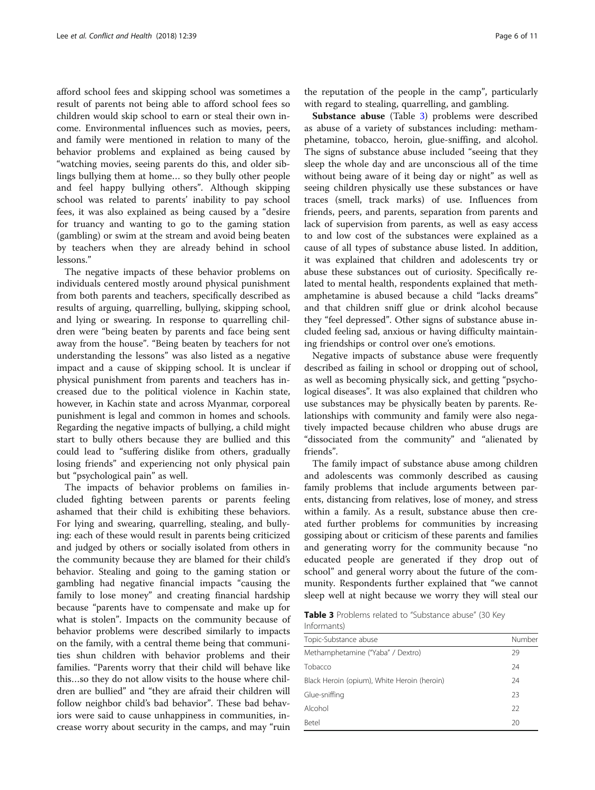afford school fees and skipping school was sometimes a result of parents not being able to afford school fees so children would skip school to earn or steal their own income. Environmental influences such as movies, peers, and family were mentioned in relation to many of the behavior problems and explained as being caused by "watching movies, seeing parents do this, and older siblings bullying them at home… so they bully other people and feel happy bullying others". Although skipping school was related to parents' inability to pay school fees, it was also explained as being caused by a "desire for truancy and wanting to go to the gaming station (gambling) or swim at the stream and avoid being beaten by teachers when they are already behind in school lessons."

The negative impacts of these behavior problems on individuals centered mostly around physical punishment from both parents and teachers, specifically described as results of arguing, quarrelling, bullying, skipping school, and lying or swearing. In response to quarrelling children were "being beaten by parents and face being sent away from the house". "Being beaten by teachers for not understanding the lessons" was also listed as a negative impact and a cause of skipping school. It is unclear if physical punishment from parents and teachers has increased due to the political violence in Kachin state, however, in Kachin state and across Myanmar, corporeal punishment is legal and common in homes and schools. Regarding the negative impacts of bullying, a child might start to bully others because they are bullied and this could lead to "suffering dislike from others, gradually losing friends" and experiencing not only physical pain but "psychological pain" as well.

The impacts of behavior problems on families included fighting between parents or parents feeling ashamed that their child is exhibiting these behaviors. For lying and swearing, quarrelling, stealing, and bullying: each of these would result in parents being criticized and judged by others or socially isolated from others in the community because they are blamed for their child's behavior. Stealing and going to the gaming station or gambling had negative financial impacts "causing the family to lose money" and creating financial hardship because "parents have to compensate and make up for what is stolen". Impacts on the community because of behavior problems were described similarly to impacts on the family, with a central theme being that communities shun children with behavior problems and their families. "Parents worry that their child will behave like this…so they do not allow visits to the house where children are bullied" and "they are afraid their children will follow neighbor child's bad behavior". These bad behaviors were said to cause unhappiness in communities, increase worry about security in the camps, and may "ruin

the reputation of the people in the camp", particularly with regard to stealing, quarrelling, and gambling.

Substance abuse (Table 3) problems were described as abuse of a variety of substances including: methamphetamine, tobacco, heroin, glue-sniffing, and alcohol. The signs of substance abuse included "seeing that they sleep the whole day and are unconscious all of the time without being aware of it being day or night" as well as seeing children physically use these substances or have traces (smell, track marks) of use. Influences from friends, peers, and parents, separation from parents and lack of supervision from parents, as well as easy access to and low cost of the substances were explained as a cause of all types of substance abuse listed. In addition, it was explained that children and adolescents try or abuse these substances out of curiosity. Specifically related to mental health, respondents explained that methamphetamine is abused because a child "lacks dreams" and that children sniff glue or drink alcohol because they "feel depressed". Other signs of substance abuse included feeling sad, anxious or having difficulty maintaining friendships or control over one's emotions.

Negative impacts of substance abuse were frequently described as failing in school or dropping out of school, as well as becoming physically sick, and getting "psychological diseases". It was also explained that children who use substances may be physically beaten by parents. Relationships with community and family were also negatively impacted because children who abuse drugs are "dissociated from the community" and "alienated by friends".

The family impact of substance abuse among children and adolescents was commonly described as causing family problems that include arguments between parents, distancing from relatives, lose of money, and stress within a family. As a result, substance abuse then created further problems for communities by increasing gossiping about or criticism of these parents and families and generating worry for the community because "no educated people are generated if they drop out of school" and general worry about the future of the community. Respondents further explained that "we cannot sleep well at night because we worry they will steal our

Table 3 Problems related to "Substance abuse" (30 Key Informants)

| Number |
|--------|
| 29     |
| 24     |
| 24     |
| 23     |
| 22     |
| 20     |
|        |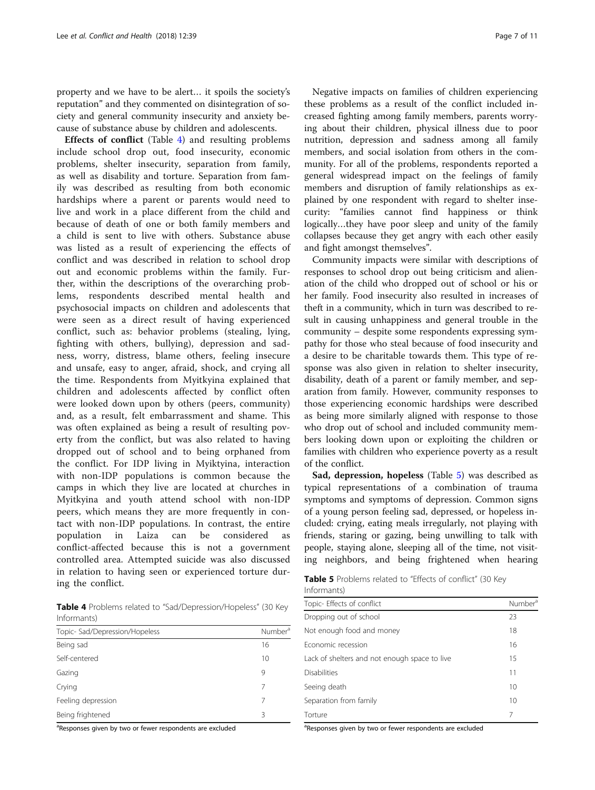property and we have to be alert… it spoils the society's reputation" and they commented on disintegration of society and general community insecurity and anxiety because of substance abuse by children and adolescents.

Effects of conflict (Table 4) and resulting problems include school drop out, food insecurity, economic problems, shelter insecurity, separation from family, as well as disability and torture. Separation from family was described as resulting from both economic hardships where a parent or parents would need to live and work in a place different from the child and because of death of one or both family members and a child is sent to live with others. Substance abuse was listed as a result of experiencing the effects of conflict and was described in relation to school drop out and economic problems within the family. Further, within the descriptions of the overarching problems, respondents described mental health and psychosocial impacts on children and adolescents that were seen as a direct result of having experienced conflict, such as: behavior problems (stealing, lying, fighting with others, bullying), depression and sadness, worry, distress, blame others, feeling insecure and unsafe, easy to anger, afraid, shock, and crying all the time. Respondents from Myitkyina explained that children and adolescents affected by conflict often were looked down upon by others (peers, community) and, as a result, felt embarrassment and shame. This was often explained as being a result of resulting poverty from the conflict, but was also related to having dropped out of school and to being orphaned from the conflict. For IDP living in Myiktyina, interaction with non-IDP populations is common because the camps in which they live are located at churches in Myitkyina and youth attend school with non-IDP peers, which means they are more frequently in contact with non-IDP populations. In contrast, the entire population in Laiza can be considered as conflict-affected because this is not a government controlled area. Attempted suicide was also discussed in relation to having seen or experienced torture during the conflict.

**Table 4** Problems related to "Sad/Depression/Hopeless" (30 Key Informants)

| Topic-Sad/Depression/Hopeless | Number <sup>a</sup> |
|-------------------------------|---------------------|
| Being sad                     | 16                  |
| Self-centered                 | 10                  |
| Gazing                        | 9                   |
| Crying                        |                     |
| Feeling depression            | 7                   |
| Being frightened              | 3                   |

<sup>a</sup>Responses given by two or fewer respondents are excluded

Negative impacts on families of children experiencing these problems as a result of the conflict included increased fighting among family members, parents worrying about their children, physical illness due to poor nutrition, depression and sadness among all family members, and social isolation from others in the community. For all of the problems, respondents reported a general widespread impact on the feelings of family members and disruption of family relationships as explained by one respondent with regard to shelter insecurity: "families cannot find happiness or think logically…they have poor sleep and unity of the family collapses because they get angry with each other easily and fight amongst themselves".

Community impacts were similar with descriptions of responses to school drop out being criticism and alienation of the child who dropped out of school or his or her family. Food insecurity also resulted in increases of theft in a community, which in turn was described to result in causing unhappiness and general trouble in the community – despite some respondents expressing sympathy for those who steal because of food insecurity and a desire to be charitable towards them. This type of response was also given in relation to shelter insecurity, disability, death of a parent or family member, and separation from family. However, community responses to those experiencing economic hardships were described as being more similarly aligned with response to those who drop out of school and included community members looking down upon or exploiting the children or families with children who experience poverty as a result of the conflict.

Sad, depression, hopeless (Table 5) was described as typical representations of a combination of trauma symptoms and symptoms of depression. Common signs of a young person feeling sad, depressed, or hopeless included: crying, eating meals irregularly, not playing with friends, staring or gazing, being unwilling to talk with people, staying alone, sleeping all of the time, not visiting neighbors, and being frightened when hearing

Table 5 Problems related to "Effects of conflict" (30 Key Informants)

| Dropping out of school                        | 23 |
|-----------------------------------------------|----|
| Not enough food and money                     | 18 |
| Fronomic recession                            | 16 |
| Lack of shelters and not enough space to live | 15 |
| <b>Disabilities</b>                           | 11 |
| Seeing death                                  | 10 |
| Separation from family                        | 10 |
| Torture                                       | 7  |

<sup>a</sup>Responses given by two or fewer respondents are excluded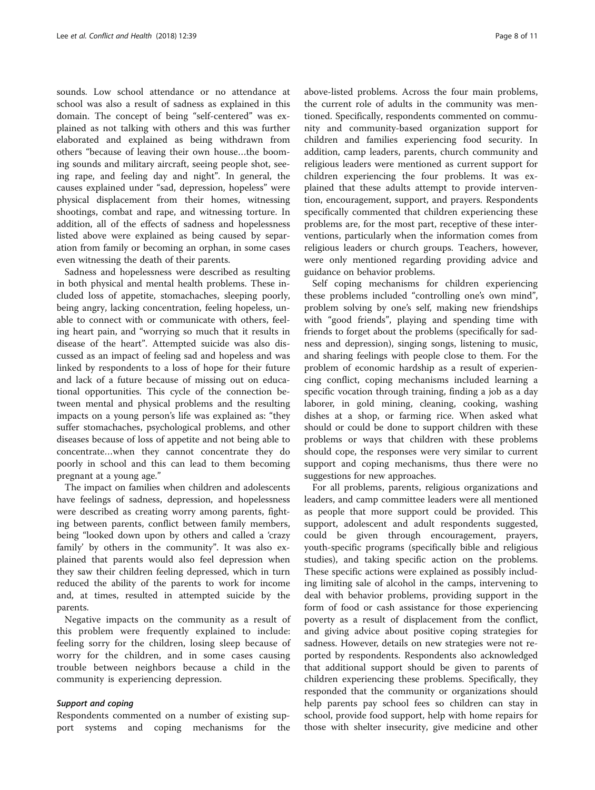sounds. Low school attendance or no attendance at school was also a result of sadness as explained in this domain. The concept of being "self-centered" was explained as not talking with others and this was further elaborated and explained as being withdrawn from others "because of leaving their own house…the booming sounds and military aircraft, seeing people shot, seeing rape, and feeling day and night". In general, the causes explained under "sad, depression, hopeless" were physical displacement from their homes, witnessing shootings, combat and rape, and witnessing torture. In addition, all of the effects of sadness and hopelessness listed above were explained as being caused by separation from family or becoming an orphan, in some cases even witnessing the death of their parents.

Sadness and hopelessness were described as resulting in both physical and mental health problems. These included loss of appetite, stomachaches, sleeping poorly, being angry, lacking concentration, feeling hopeless, unable to connect with or communicate with others, feeling heart pain, and "worrying so much that it results in disease of the heart". Attempted suicide was also discussed as an impact of feeling sad and hopeless and was linked by respondents to a loss of hope for their future and lack of a future because of missing out on educational opportunities. This cycle of the connection between mental and physical problems and the resulting impacts on a young person's life was explained as: "they suffer stomachaches, psychological problems, and other diseases because of loss of appetite and not being able to concentrate…when they cannot concentrate they do poorly in school and this can lead to them becoming pregnant at a young age."

The impact on families when children and adolescents have feelings of sadness, depression, and hopelessness were described as creating worry among parents, fighting between parents, conflict between family members, being "looked down upon by others and called a 'crazy family' by others in the community". It was also explained that parents would also feel depression when they saw their children feeling depressed, which in turn reduced the ability of the parents to work for income and, at times, resulted in attempted suicide by the parents.

Negative impacts on the community as a result of this problem were frequently explained to include: feeling sorry for the children, losing sleep because of worry for the children, and in some cases causing trouble between neighbors because a child in the community is experiencing depression.

#### Support and coping

Respondents commented on a number of existing support systems and coping mechanisms for the above-listed problems. Across the four main problems, the current role of adults in the community was mentioned. Specifically, respondents commented on community and community-based organization support for children and families experiencing food security. In addition, camp leaders, parents, church community and religious leaders were mentioned as current support for children experiencing the four problems. It was explained that these adults attempt to provide intervention, encouragement, support, and prayers. Respondents specifically commented that children experiencing these problems are, for the most part, receptive of these interventions, particularly when the information comes from religious leaders or church groups. Teachers, however, were only mentioned regarding providing advice and guidance on behavior problems.

Self coping mechanisms for children experiencing these problems included "controlling one's own mind", problem solving by one's self, making new friendships with "good friends", playing and spending time with friends to forget about the problems (specifically for sadness and depression), singing songs, listening to music, and sharing feelings with people close to them. For the problem of economic hardship as a result of experiencing conflict, coping mechanisms included learning a specific vocation through training, finding a job as a day laborer, in gold mining, cleaning, cooking, washing dishes at a shop, or farming rice. When asked what should or could be done to support children with these problems or ways that children with these problems should cope, the responses were very similar to current support and coping mechanisms, thus there were no suggestions for new approaches.

For all problems, parents, religious organizations and leaders, and camp committee leaders were all mentioned as people that more support could be provided. This support, adolescent and adult respondents suggested, could be given through encouragement, prayers, youth-specific programs (specifically bible and religious studies), and taking specific action on the problems. These specific actions were explained as possibly including limiting sale of alcohol in the camps, intervening to deal with behavior problems, providing support in the form of food or cash assistance for those experiencing poverty as a result of displacement from the conflict, and giving advice about positive coping strategies for sadness. However, details on new strategies were not reported by respondents. Respondents also acknowledged that additional support should be given to parents of children experiencing these problems. Specifically, they responded that the community or organizations should help parents pay school fees so children can stay in school, provide food support, help with home repairs for those with shelter insecurity, give medicine and other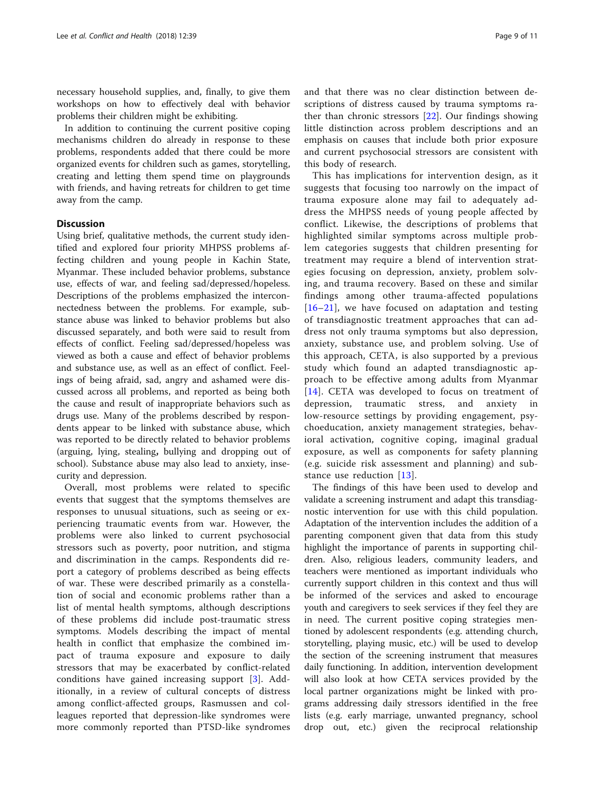necessary household supplies, and, finally, to give them workshops on how to effectively deal with behavior problems their children might be exhibiting.

In addition to continuing the current positive coping mechanisms children do already in response to these problems, respondents added that there could be more organized events for children such as games, storytelling, creating and letting them spend time on playgrounds with friends, and having retreats for children to get time away from the camp.

#### **Discussion**

Using brief, qualitative methods, the current study identified and explored four priority MHPSS problems affecting children and young people in Kachin State, Myanmar. These included behavior problems, substance use, effects of war, and feeling sad/depressed/hopeless. Descriptions of the problems emphasized the interconnectedness between the problems. For example, substance abuse was linked to behavior problems but also discussed separately, and both were said to result from effects of conflict. Feeling sad/depressed/hopeless was viewed as both a cause and effect of behavior problems and substance use, as well as an effect of conflict. Feelings of being afraid, sad, angry and ashamed were discussed across all problems, and reported as being both the cause and result of inappropriate behaviors such as drugs use. Many of the problems described by respondents appear to be linked with substance abuse, which was reported to be directly related to behavior problems (arguing, lying, stealing, bullying and dropping out of school). Substance abuse may also lead to anxiety, insecurity and depression.

Overall, most problems were related to specific events that suggest that the symptoms themselves are responses to unusual situations, such as seeing or experiencing traumatic events from war. However, the problems were also linked to current psychosocial stressors such as poverty, poor nutrition, and stigma and discrimination in the camps. Respondents did report a category of problems described as being effects of war. These were described primarily as a constellation of social and economic problems rather than a list of mental health symptoms, although descriptions of these problems did include post-traumatic stress symptoms. Models describing the impact of mental health in conflict that emphasize the combined impact of trauma exposure and exposure to daily stressors that may be exacerbated by conflict-related conditions have gained increasing support [[3](#page-10-0)]. Additionally, in a review of cultural concepts of distress among conflict-affected groups, Rasmussen and colleagues reported that depression-like syndromes were more commonly reported than PTSD-like syndromes

and that there was no clear distinction between descriptions of distress caused by trauma symptoms rather than chronic stressors [[22\]](#page-10-0). Our findings showing little distinction across problem descriptions and an emphasis on causes that include both prior exposure and current psychosocial stressors are consistent with this body of research.

This has implications for intervention design, as it suggests that focusing too narrowly on the impact of trauma exposure alone may fail to adequately address the MHPSS needs of young people affected by conflict. Likewise, the descriptions of problems that highlighted similar symptoms across multiple problem categories suggests that children presenting for treatment may require a blend of intervention strategies focusing on depression, anxiety, problem solving, and trauma recovery. Based on these and similar findings among other trauma-affected populations [[16](#page-10-0)–[21\]](#page-10-0), we have focused on adaptation and testing of transdiagnostic treatment approaches that can address not only trauma symptoms but also depression, anxiety, substance use, and problem solving. Use of this approach, CETA, is also supported by a previous study which found an adapted transdiagnostic approach to be effective among adults from Myanmar [[14](#page-10-0)]. CETA was developed to focus on treatment of depression, traumatic stress, and anxiety in low-resource settings by providing engagement, psychoeducation, anxiety management strategies, behavioral activation, cognitive coping, imaginal gradual exposure, as well as components for safety planning (e.g. suicide risk assessment and planning) and substance use reduction [[13\]](#page-10-0).

The findings of this have been used to develop and validate a screening instrument and adapt this transdiagnostic intervention for use with this child population. Adaptation of the intervention includes the addition of a parenting component given that data from this study highlight the importance of parents in supporting children. Also, religious leaders, community leaders, and teachers were mentioned as important individuals who currently support children in this context and thus will be informed of the services and asked to encourage youth and caregivers to seek services if they feel they are in need. The current positive coping strategies mentioned by adolescent respondents (e.g. attending church, storytelling, playing music, etc.) will be used to develop the section of the screening instrument that measures daily functioning. In addition, intervention development will also look at how CETA services provided by the local partner organizations might be linked with programs addressing daily stressors identified in the free lists (e.g. early marriage, unwanted pregnancy, school drop out, etc.) given the reciprocal relationship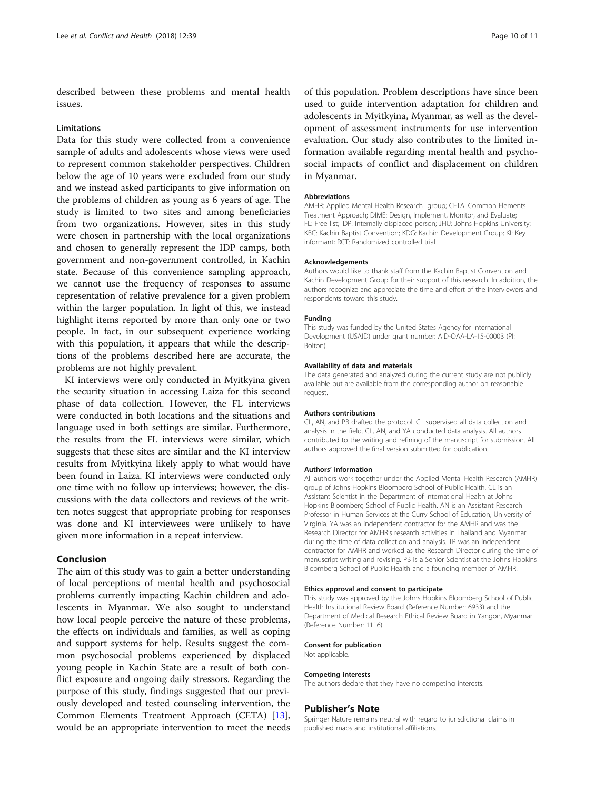described between these problems and mental health issues.

#### Limitations

Data for this study were collected from a convenience sample of adults and adolescents whose views were used to represent common stakeholder perspectives. Children below the age of 10 years were excluded from our study and we instead asked participants to give information on the problems of children as young as 6 years of age. The study is limited to two sites and among beneficiaries from two organizations. However, sites in this study were chosen in partnership with the local organizations and chosen to generally represent the IDP camps, both government and non-government controlled, in Kachin state. Because of this convenience sampling approach, we cannot use the frequency of responses to assume representation of relative prevalence for a given problem within the larger population. In light of this, we instead highlight items reported by more than only one or two people. In fact, in our subsequent experience working with this population, it appears that while the descriptions of the problems described here are accurate, the problems are not highly prevalent.

KI interviews were only conducted in Myitkyina given the security situation in accessing Laiza for this second phase of data collection. However, the FL interviews were conducted in both locations and the situations and language used in both settings are similar. Furthermore, the results from the FL interviews were similar, which suggests that these sites are similar and the KI interview results from Myitkyina likely apply to what would have been found in Laiza. KI interviews were conducted only one time with no follow up interviews; however, the discussions with the data collectors and reviews of the written notes suggest that appropriate probing for responses was done and KI interviewees were unlikely to have given more information in a repeat interview.

#### Conclusion

The aim of this study was to gain a better understanding of local perceptions of mental health and psychosocial problems currently impacting Kachin children and adolescents in Myanmar. We also sought to understand how local people perceive the nature of these problems, the effects on individuals and families, as well as coping and support systems for help. Results suggest the common psychosocial problems experienced by displaced young people in Kachin State are a result of both conflict exposure and ongoing daily stressors. Regarding the purpose of this study, findings suggested that our previously developed and tested counseling intervention, the Common Elements Treatment Approach (CETA) [\[13](#page-10-0)], would be an appropriate intervention to meet the needs

of this population. Problem descriptions have since been used to guide intervention adaptation for children and adolescents in Myitkyina, Myanmar, as well as the development of assessment instruments for use intervention evaluation. Our study also contributes to the limited information available regarding mental health and psychosocial impacts of conflict and displacement on children in Myanmar.

#### Abbreviations

AMHR: Applied Mental Health Research group; CETA: Common Elements Treatment Approach; DIME: Design, Implement, Monitor, and Evaluate; FL: Free list; IDP: Internally displaced person; JHU: Johns Hopkins University; KBC: Kachin Baptist Convention; KDG: Kachin Development Group; KI: Key informant; RCT: Randomized controlled trial

#### Acknowledgements

Authors would like to thank staff from the Kachin Baptist Convention and Kachin Development Group for their support of this research. In addition, the authors recognize and appreciate the time and effort of the interviewers and respondents toward this study.

#### Funding

This study was funded by the United States Agency for International Development (USAID) under grant number: AID-OAA-LA-15-00003 (PI: Bolton).

#### Availability of data and materials

The data generated and analyzed during the current study are not publicly available but are available from the corresponding author on reasonable request.

#### Authors contributions

CL, AN, and PB drafted the protocol. CL supervised all data collection and analysis in the field. CL, AN, and YA conducted data analysis. All authors contributed to the writing and refining of the manuscript for submission. All authors approved the final version submitted for publication.

#### Authors' information

All authors work together under the Applied Mental Health Research (AMHR) group of Johns Hopkins Bloomberg School of Public Health. CL is an Assistant Scientist in the Department of International Health at Johns Hopkins Bloomberg School of Public Health. AN is an Assistant Research Professor in Human Services at the Curry School of Education, University of Virginia. YA was an independent contractor for the AMHR and was the Research Director for AMHR's research activities in Thailand and Myanmar during the time of data collection and analysis. TR was an independent contractor for AMHR and worked as the Research Director during the time of manuscript writing and revising. PB is a Senior Scientist at the Johns Hopkins Bloomberg School of Public Health and a founding member of AMHR.

#### Ethics approval and consent to participate

This study was approved by the Johns Hopkins Bloomberg School of Public Health Institutional Review Board (Reference Number: 6933) and the Department of Medical Research Ethical Review Board in Yangon, Myanmar (Reference Number: 1116).

#### Consent for publication

Not applicable.

#### Competing interests

The authors declare that they have no competing interests.

#### Publisher's Note

Springer Nature remains neutral with regard to jurisdictional claims in published maps and institutional affiliations.